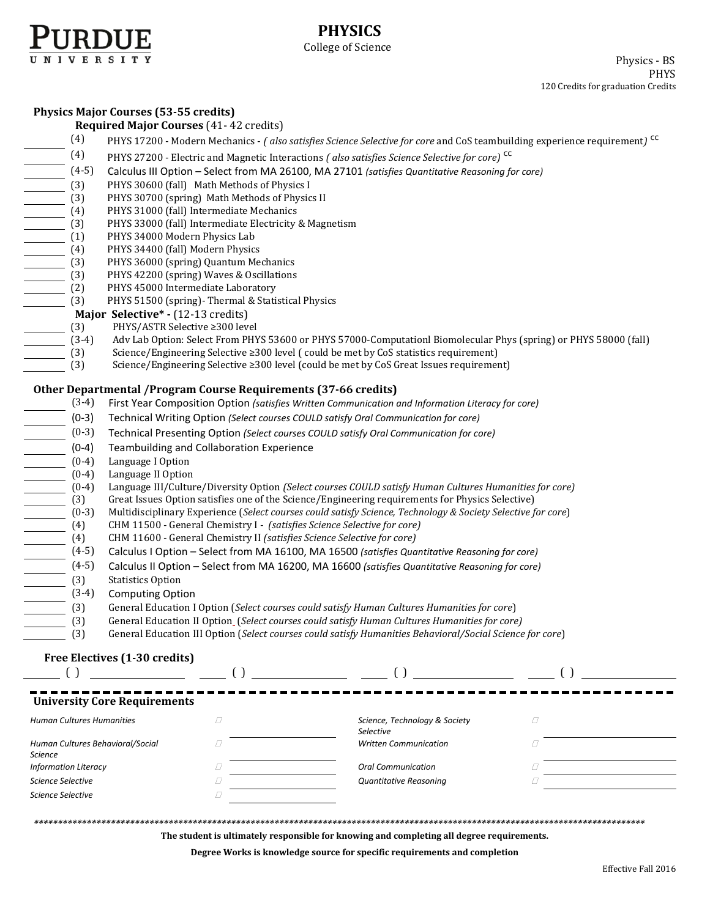

# **PHYSICS** College of Science

Physics - BS PHYS 120 Credits for graduation Credits

### **Physics Major Courses (53-55 credits)**

|                                                                                                                                                                                                                                                                                                                                                                                                                                                                                                                                          | <b>Required Major Courses (41-42 credits)</b>                                                                                                                                                              |                              |                                                                                                           |             |  |  |  |
|------------------------------------------------------------------------------------------------------------------------------------------------------------------------------------------------------------------------------------------------------------------------------------------------------------------------------------------------------------------------------------------------------------------------------------------------------------------------------------------------------------------------------------------|------------------------------------------------------------------------------------------------------------------------------------------------------------------------------------------------------------|------------------------------|-----------------------------------------------------------------------------------------------------------|-------------|--|--|--|
| (4)                                                                                                                                                                                                                                                                                                                                                                                                                                                                                                                                      | PHYS 17200 - Modern Mechanics - (also satisfies Science Selective for core and CoS teambuilding experience requirement) <sup>cc</sup>                                                                      |                              |                                                                                                           |             |  |  |  |
|                                                                                                                                                                                                                                                                                                                                                                                                                                                                                                                                          | PHYS 27200 - Electric and Magnetic Interactions (also satisfies Science Selective for core) <sup>CC</sup>                                                                                                  |                              |                                                                                                           |             |  |  |  |
|                                                                                                                                                                                                                                                                                                                                                                                                                                                                                                                                          | Calculus III Option - Select from MA 26100, MA 27101 (satisfies Quantitative Reasoning for core)                                                                                                           |                              |                                                                                                           |             |  |  |  |
|                                                                                                                                                                                                                                                                                                                                                                                                                                                                                                                                          | PHYS 30600 (fall) Math Methods of Physics I                                                                                                                                                                |                              |                                                                                                           |             |  |  |  |
|                                                                                                                                                                                                                                                                                                                                                                                                                                                                                                                                          | PHYS 30700 (spring) Math Methods of Physics II                                                                                                                                                             |                              |                                                                                                           |             |  |  |  |
|                                                                                                                                                                                                                                                                                                                                                                                                                                                                                                                                          | PHYS 31000 (fall) Intermediate Mechanics                                                                                                                                                                   |                              |                                                                                                           |             |  |  |  |
|                                                                                                                                                                                                                                                                                                                                                                                                                                                                                                                                          | PHYS 33000 (fall) Intermediate Electricity & Magnetism                                                                                                                                                     |                              |                                                                                                           |             |  |  |  |
|                                                                                                                                                                                                                                                                                                                                                                                                                                                                                                                                          | PHYS 34000 Modern Physics Lab                                                                                                                                                                              |                              |                                                                                                           |             |  |  |  |
|                                                                                                                                                                                                                                                                                                                                                                                                                                                                                                                                          | PHYS 34400 (fall) Modern Physics                                                                                                                                                                           |                              |                                                                                                           |             |  |  |  |
|                                                                                                                                                                                                                                                                                                                                                                                                                                                                                                                                          | PHYS 36000 (spring) Quantum Mechanics                                                                                                                                                                      |                              |                                                                                                           |             |  |  |  |
|                                                                                                                                                                                                                                                                                                                                                                                                                                                                                                                                          | PHYS 42200 (spring) Waves & Oscillations                                                                                                                                                                   |                              |                                                                                                           |             |  |  |  |
|                                                                                                                                                                                                                                                                                                                                                                                                                                                                                                                                          | PHYS 45000 Intermediate Laboratory<br>PHYS 51500 (spring)- Thermal & Statistical Physics                                                                                                                   |                              |                                                                                                           |             |  |  |  |
|                                                                                                                                                                                                                                                                                                                                                                                                                                                                                                                                          |                                                                                                                                                                                                            |                              |                                                                                                           |             |  |  |  |
|                                                                                                                                                                                                                                                                                                                                                                                                                                                                                                                                          |                                                                                                                                                                                                            |                              |                                                                                                           |             |  |  |  |
|                                                                                                                                                                                                                                                                                                                                                                                                                                                                                                                                          | <b>Major Selective</b> * - (12-13 credits)<br>(3) PHYS/ASTR Selective $\geq 300$ leve<br>(3-4) Adv Lab Option: Select From PH<br>PHYS/ASTR Selective ≥300 level                                            |                              |                                                                                                           |             |  |  |  |
|                                                                                                                                                                                                                                                                                                                                                                                                                                                                                                                                          | Adv Lab Option: Select From PHYS 53600 or PHYS 57000-Computationl Biomolecular Phys (spring) or PHYS 58000 (fall)<br>Science/Engineering Selective ≥300 level (could be met by CoS statistics requirement) |                              |                                                                                                           |             |  |  |  |
| $\frac{1}{\sqrt{3}}$ (3)                                                                                                                                                                                                                                                                                                                                                                                                                                                                                                                 |                                                                                                                                                                                                            |                              | Science/Engineering Selective ≥300 level (could be met by CoS Great Issues requirement)                   |             |  |  |  |
|                                                                                                                                                                                                                                                                                                                                                                                                                                                                                                                                          |                                                                                                                                                                                                            |                              |                                                                                                           |             |  |  |  |
|                                                                                                                                                                                                                                                                                                                                                                                                                                                                                                                                          | Other Departmental / Program Course Requirements (37-66 credits)                                                                                                                                           |                              |                                                                                                           |             |  |  |  |
| $(3-4)$                                                                                                                                                                                                                                                                                                                                                                                                                                                                                                                                  | First Year Composition Option (satisfies Written Communication and Information Literacy for core)                                                                                                          |                              |                                                                                                           |             |  |  |  |
|                                                                                                                                                                                                                                                                                                                                                                                                                                                                                                                                          |                                                                                                                                                                                                            |                              |                                                                                                           |             |  |  |  |
|                                                                                                                                                                                                                                                                                                                                                                                                                                                                                                                                          | Technical Writing Option (Select courses COULD satisfy Oral Communication for core)<br>Technical Presenting Option (Select courses COULD satisfy Oral Communication for core)                              |                              |                                                                                                           |             |  |  |  |
|                                                                                                                                                                                                                                                                                                                                                                                                                                                                                                                                          | Teambuilding and Collaboration Experience                                                                                                                                                                  |                              |                                                                                                           |             |  |  |  |
|                                                                                                                                                                                                                                                                                                                                                                                                                                                                                                                                          | Language I Option                                                                                                                                                                                          |                              |                                                                                                           |             |  |  |  |
|                                                                                                                                                                                                                                                                                                                                                                                                                                                                                                                                          | Language II Option                                                                                                                                                                                         |                              |                                                                                                           |             |  |  |  |
|                                                                                                                                                                                                                                                                                                                                                                                                                                                                                                                                          | Language III/Culture/Diversity Option (Select courses COULD satisfy Human Cultures Humanities for core)                                                                                                    |                              |                                                                                                           |             |  |  |  |
|                                                                                                                                                                                                                                                                                                                                                                                                                                                                                                                                          | Great Issues Option satisfies one of the Science/Engineering requirements for Physics Selective)                                                                                                           |                              |                                                                                                           |             |  |  |  |
|                                                                                                                                                                                                                                                                                                                                                                                                                                                                                                                                          | Multidisciplinary Experience (Select courses could satisfy Science, Technology & Society Selective for core)                                                                                               |                              |                                                                                                           |             |  |  |  |
|                                                                                                                                                                                                                                                                                                                                                                                                                                                                                                                                          | CHM 11500 - General Chemistry I - (satisfies Science Selective for core)                                                                                                                                   |                              |                                                                                                           |             |  |  |  |
| $\begin{array}{r rrrr} (3\rightarrow 4) & (0\rightarrow 3) & (0\rightarrow 3) & (0\rightarrow 3) & (0\rightarrow 4) & (0\rightarrow 4) & (0\rightarrow 4) & (0\rightarrow 4) & (0\rightarrow 4) & (0\rightarrow 4) & (0\rightarrow 4) & (0\rightarrow 4) & (0\rightarrow 4) & (0\rightarrow 3) & (0\rightarrow 3) & (0\rightarrow 3) & (0\rightarrow 3) & (0\rightarrow 3) & (0\rightarrow 4) & (0\rightarrow 5) & (0\rightarrow 5) & (0\rightarrow 4) & (0\rightarrow 5) & (0\rightarrow 4) & (0\rightarrow 5) & (0\rightarrow 4) & (0$ | CHM 11600 - General Chemistry II (satisfies Science Selective for core)                                                                                                                                    |                              |                                                                                                           |             |  |  |  |
|                                                                                                                                                                                                                                                                                                                                                                                                                                                                                                                                          |                                                                                                                                                                                                            |                              | Calculus I Option - Select from MA 16100, MA 16500 (satisfies Quantitative Reasoning for core)            |             |  |  |  |
|                                                                                                                                                                                                                                                                                                                                                                                                                                                                                                                                          |                                                                                                                                                                                                            |                              | Calculus II Option - Select from MA 16200, MA 16600 (satisfies Quantitative Reasoning for core)           |             |  |  |  |
|                                                                                                                                                                                                                                                                                                                                                                                                                                                                                                                                          | <b>Statistics Option</b>                                                                                                                                                                                   |                              |                                                                                                           |             |  |  |  |
|                                                                                                                                                                                                                                                                                                                                                                                                                                                                                                                                          | <b>Computing Option</b>                                                                                                                                                                                    |                              |                                                                                                           |             |  |  |  |
|                                                                                                                                                                                                                                                                                                                                                                                                                                                                                                                                          |                                                                                                                                                                                                            |                              | General Education I Option (Select courses could satisfy Human Cultures Humanities for core)              |             |  |  |  |
|                                                                                                                                                                                                                                                                                                                                                                                                                                                                                                                                          |                                                                                                                                                                                                            |                              | General Education II Option_(Select courses could satisfy Human Cultures Humanities for core)             |             |  |  |  |
| (3)                                                                                                                                                                                                                                                                                                                                                                                                                                                                                                                                      |                                                                                                                                                                                                            |                              | General Education III Option (Select courses could satisfy Humanities Behavioral/Social Science for core) |             |  |  |  |
|                                                                                                                                                                                                                                                                                                                                                                                                                                                                                                                                          |                                                                                                                                                                                                            |                              |                                                                                                           |             |  |  |  |
|                                                                                                                                                                                                                                                                                                                                                                                                                                                                                                                                          | Free Electives (1-30 credits)                                                                                                                                                                              |                              |                                                                                                           |             |  |  |  |
|                                                                                                                                                                                                                                                                                                                                                                                                                                                                                                                                          |                                                                                                                                                                                                            | $\left( \ \right)$           | $\left( \ \right)$                                                                                        |             |  |  |  |
|                                                                                                                                                                                                                                                                                                                                                                                                                                                                                                                                          | <b>University Core Requirements</b>                                                                                                                                                                        |                              |                                                                                                           |             |  |  |  |
| <b>Human Cultures Humanities</b>                                                                                                                                                                                                                                                                                                                                                                                                                                                                                                         | $\varOmega$                                                                                                                                                                                                |                              | Science, Technology & Society<br>Selective                                                                | $\varOmega$ |  |  |  |
| Human Cultures Behavioral/Social<br>$\Box$<br><b>Science</b>                                                                                                                                                                                                                                                                                                                                                                                                                                                                             |                                                                                                                                                                                                            | <b>Written Communication</b> | П                                                                                                         |             |  |  |  |
| <b>Information Literacy</b><br>□                                                                                                                                                                                                                                                                                                                                                                                                                                                                                                         |                                                                                                                                                                                                            |                              | <b>Oral Communication</b>                                                                                 | O           |  |  |  |
| Science Selective<br>Quantitative Reasoning<br>□                                                                                                                                                                                                                                                                                                                                                                                                                                                                                         |                                                                                                                                                                                                            |                              |                                                                                                           | D           |  |  |  |
| <b>Science Selective</b>                                                                                                                                                                                                                                                                                                                                                                                                                                                                                                                 | O                                                                                                                                                                                                          |                              |                                                                                                           |             |  |  |  |
|                                                                                                                                                                                                                                                                                                                                                                                                                                                                                                                                          |                                                                                                                                                                                                            |                              |                                                                                                           |             |  |  |  |

*\*\*\*\*\*\*\*\*\*\*\*\*\*\*\*\*\*\*\*\*\*\*\*\*\*\*\*\*\*\*\*\*\*\*\*\*\*\*\*\*\*\*\*\*\*\*\*\*\*\*\*\*\*\*\*\*\*\*\*\*\*\*\*\*\*\*\*\*\*\*\*\*\*\*\*\*\*\*\*\*\*\*\*\*\*\*\*\*\*\*\*\*\*\*\*\*\*\*\*\*\*\*\*\*\*\*\*\*\*\*\*\*\*\*\*\*\*\*\*\*\*\*\*\*\*\*\**

**The student is ultimately responsible for knowing and completing all degree requirements.** 

**Degree Works is knowledge source for specific requirements and completion**